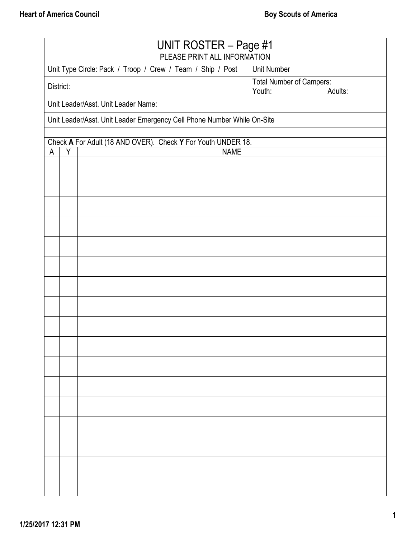| UNIT ROSTER - Page #1<br>PLEASE PRINT ALL INFORMATION |                                                                         |                                                              |                                 |  |  |  |  |
|-------------------------------------------------------|-------------------------------------------------------------------------|--------------------------------------------------------------|---------------------------------|--|--|--|--|
|                                                       |                                                                         | Unit Type Circle: Pack / Troop / Crew / Team / Ship / Post   | <b>Unit Number</b>              |  |  |  |  |
| District:                                             |                                                                         |                                                              | <b>Total Number of Campers:</b> |  |  |  |  |
|                                                       | Youth:<br>Adults:                                                       |                                                              |                                 |  |  |  |  |
|                                                       | Unit Leader/Asst. Unit Leader Name:                                     |                                                              |                                 |  |  |  |  |
|                                                       | Unit Leader/Asst. Unit Leader Emergency Cell Phone Number While On-Site |                                                              |                                 |  |  |  |  |
|                                                       |                                                                         | Check A For Adult (18 AND OVER). Check Y For Youth UNDER 18. |                                 |  |  |  |  |
| A                                                     | Y                                                                       | <b>NAME</b>                                                  |                                 |  |  |  |  |
|                                                       |                                                                         |                                                              |                                 |  |  |  |  |
|                                                       |                                                                         |                                                              |                                 |  |  |  |  |
|                                                       |                                                                         |                                                              |                                 |  |  |  |  |
|                                                       |                                                                         |                                                              |                                 |  |  |  |  |
|                                                       |                                                                         |                                                              |                                 |  |  |  |  |
|                                                       |                                                                         |                                                              |                                 |  |  |  |  |
|                                                       |                                                                         |                                                              |                                 |  |  |  |  |
|                                                       |                                                                         |                                                              |                                 |  |  |  |  |
|                                                       |                                                                         |                                                              |                                 |  |  |  |  |
|                                                       |                                                                         |                                                              |                                 |  |  |  |  |
|                                                       |                                                                         |                                                              |                                 |  |  |  |  |
|                                                       |                                                                         |                                                              |                                 |  |  |  |  |
|                                                       |                                                                         |                                                              |                                 |  |  |  |  |
|                                                       |                                                                         |                                                              |                                 |  |  |  |  |
|                                                       |                                                                         |                                                              |                                 |  |  |  |  |
|                                                       |                                                                         |                                                              |                                 |  |  |  |  |
|                                                       |                                                                         |                                                              |                                 |  |  |  |  |
|                                                       |                                                                         |                                                              |                                 |  |  |  |  |
|                                                       |                                                                         |                                                              |                                 |  |  |  |  |
|                                                       |                                                                         |                                                              |                                 |  |  |  |  |
|                                                       |                                                                         |                                                              |                                 |  |  |  |  |
|                                                       |                                                                         |                                                              |                                 |  |  |  |  |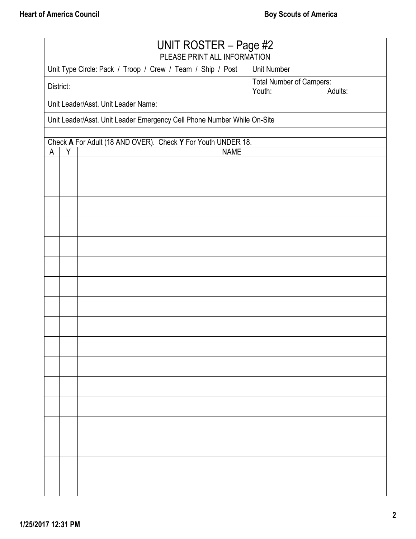| UNIT ROSTER - Page #2<br>PLEASE PRINT ALL INFORMATION |                                                                         |                                                            |                                 |  |  |  |  |
|-------------------------------------------------------|-------------------------------------------------------------------------|------------------------------------------------------------|---------------------------------|--|--|--|--|
|                                                       |                                                                         | Unit Type Circle: Pack / Troop / Crew / Team / Ship / Post | <b>Unit Number</b>              |  |  |  |  |
|                                                       | District:                                                               |                                                            | <b>Total Number of Campers:</b> |  |  |  |  |
|                                                       | Youth:<br>Adults:                                                       |                                                            |                                 |  |  |  |  |
|                                                       | Unit Leader/Asst. Unit Leader Name:                                     |                                                            |                                 |  |  |  |  |
|                                                       | Unit Leader/Asst. Unit Leader Emergency Cell Phone Number While On-Site |                                                            |                                 |  |  |  |  |
|                                                       | Check A For Adult (18 AND OVER). Check Y For Youth UNDER 18.            |                                                            |                                 |  |  |  |  |
| A                                                     | Y                                                                       | <b>NAME</b>                                                |                                 |  |  |  |  |
|                                                       |                                                                         |                                                            |                                 |  |  |  |  |
|                                                       |                                                                         |                                                            |                                 |  |  |  |  |
|                                                       |                                                                         |                                                            |                                 |  |  |  |  |
|                                                       |                                                                         |                                                            |                                 |  |  |  |  |
|                                                       |                                                                         |                                                            |                                 |  |  |  |  |
|                                                       |                                                                         |                                                            |                                 |  |  |  |  |
|                                                       |                                                                         |                                                            |                                 |  |  |  |  |
|                                                       |                                                                         |                                                            |                                 |  |  |  |  |
|                                                       |                                                                         |                                                            |                                 |  |  |  |  |
|                                                       |                                                                         |                                                            |                                 |  |  |  |  |
|                                                       |                                                                         |                                                            |                                 |  |  |  |  |
|                                                       |                                                                         |                                                            |                                 |  |  |  |  |
|                                                       |                                                                         |                                                            |                                 |  |  |  |  |
|                                                       |                                                                         |                                                            |                                 |  |  |  |  |
|                                                       |                                                                         |                                                            |                                 |  |  |  |  |
|                                                       |                                                                         |                                                            |                                 |  |  |  |  |
|                                                       |                                                                         |                                                            |                                 |  |  |  |  |
|                                                       |                                                                         |                                                            |                                 |  |  |  |  |
|                                                       |                                                                         |                                                            |                                 |  |  |  |  |
|                                                       |                                                                         |                                                            |                                 |  |  |  |  |
|                                                       |                                                                         |                                                            |                                 |  |  |  |  |
|                                                       |                                                                         |                                                            |                                 |  |  |  |  |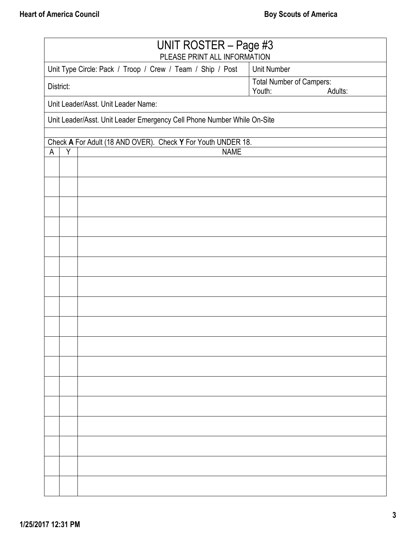| UNIT ROSTER - Page #3<br>PLEASE PRINT ALL INFORMATION |                                                                         |                                                              |                                 |  |  |  |  |
|-------------------------------------------------------|-------------------------------------------------------------------------|--------------------------------------------------------------|---------------------------------|--|--|--|--|
|                                                       |                                                                         | Unit Type Circle: Pack / Troop / Crew / Team / Ship / Post   | <b>Unit Number</b>              |  |  |  |  |
| District:                                             |                                                                         |                                                              | <b>Total Number of Campers:</b> |  |  |  |  |
|                                                       | Youth:<br>Adults:<br>Unit Leader/Asst. Unit Leader Name:                |                                                              |                                 |  |  |  |  |
|                                                       |                                                                         |                                                              |                                 |  |  |  |  |
|                                                       | Unit Leader/Asst. Unit Leader Emergency Cell Phone Number While On-Site |                                                              |                                 |  |  |  |  |
|                                                       |                                                                         | Check A For Adult (18 AND OVER). Check Y For Youth UNDER 18. |                                 |  |  |  |  |
| A                                                     | Y                                                                       | <b>NAME</b>                                                  |                                 |  |  |  |  |
|                                                       |                                                                         |                                                              |                                 |  |  |  |  |
|                                                       |                                                                         |                                                              |                                 |  |  |  |  |
|                                                       |                                                                         |                                                              |                                 |  |  |  |  |
|                                                       |                                                                         |                                                              |                                 |  |  |  |  |
|                                                       |                                                                         |                                                              |                                 |  |  |  |  |
|                                                       |                                                                         |                                                              |                                 |  |  |  |  |
|                                                       |                                                                         |                                                              |                                 |  |  |  |  |
|                                                       |                                                                         |                                                              |                                 |  |  |  |  |
|                                                       |                                                                         |                                                              |                                 |  |  |  |  |
|                                                       |                                                                         |                                                              |                                 |  |  |  |  |
|                                                       |                                                                         |                                                              |                                 |  |  |  |  |
|                                                       |                                                                         |                                                              |                                 |  |  |  |  |
|                                                       |                                                                         |                                                              |                                 |  |  |  |  |
|                                                       |                                                                         |                                                              |                                 |  |  |  |  |
|                                                       |                                                                         |                                                              |                                 |  |  |  |  |
|                                                       |                                                                         |                                                              |                                 |  |  |  |  |
|                                                       |                                                                         |                                                              |                                 |  |  |  |  |
|                                                       |                                                                         |                                                              |                                 |  |  |  |  |
|                                                       |                                                                         |                                                              |                                 |  |  |  |  |
|                                                       |                                                                         |                                                              |                                 |  |  |  |  |
|                                                       |                                                                         |                                                              |                                 |  |  |  |  |
|                                                       |                                                                         |                                                              |                                 |  |  |  |  |
|                                                       |                                                                         |                                                              |                                 |  |  |  |  |